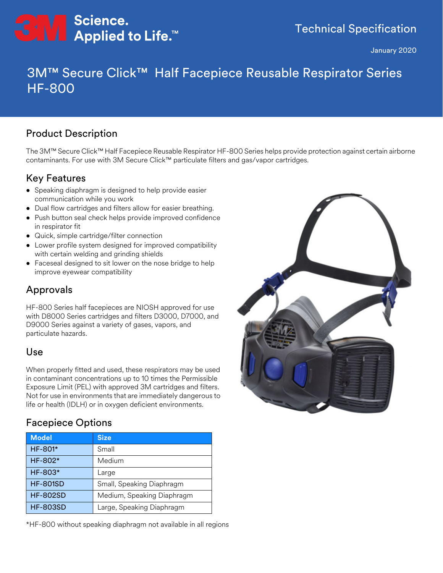

January 2020

# 3M™ Secure Click™ Half Facepiece Reusable Respirator Series HF-800

### Product Description

The 3M™ Secure Click™ Half Facepiece Reusable Respirator HF-800 Series helps provide protection against certain airborne contaminants. For use with 3M Secure Click™ particulate filters and gas/vapor cartridges.

## Key Features

- Speaking diaphragm is designed to help provide easier communication while you work
- Dual flow cartridges and filters allow for easier breathing.
- Push button seal check helps provide improved confidence in respirator fit
- Quick, simple cartridge/filter connection
- Lower profile system designed for improved compatibility with certain welding and grinding shields
- Faceseal designed to sit lower on the nose bridge to help improve eyewear compatibility

## Approvals

HF-800 Series half facepieces are NIOSH approved for use with D8000 Series cartridges and filters D3000, D7000, and D9000 Series against a variety of gases, vapors, and particulate hazards.

#### Use

When properly fitted and used, these respirators may be used in contaminant concentrations up to 10 times the Permissible Exposure Limit (PEL) with approved 3M cartridges and filters. Not for use in environments that are immediately dangerous to life or health (IDLH) or in oxygen deficient environments.

## Facepiece Options

| <b>Model</b>    | <b>Size</b>                |
|-----------------|----------------------------|
| HF-801*         | Small                      |
| HF-802*         | Medium                     |
| HF-803*         | Large                      |
| <b>HF-801SD</b> | Small, Speaking Diaphragm  |
| <b>HF-802SD</b> | Medium, Speaking Diaphragm |
| <b>HF-803SD</b> | Large, Speaking Diaphragm  |

\*HF-800 without speaking diaphragm not available in all regions

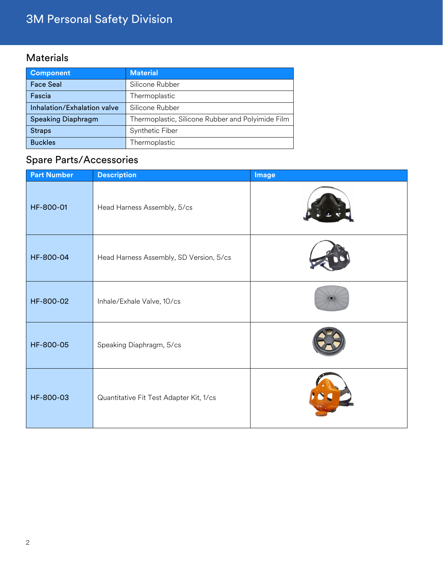# 3M Personal Safety Division

# Materials

| <b>Component</b>            | <b>Material</b>                                   |
|-----------------------------|---------------------------------------------------|
| <b>Face Seal</b>            | Silicone Rubber                                   |
| Fascia                      | Thermoplastic                                     |
| Inhalation/Exhalation valve | Silicone Rubber                                   |
| <b>Speaking Diaphragm</b>   | Thermoplastic, Silicone Rubber and Polyimide Film |
| <b>Straps</b>               | Synthetic Fiber                                   |
| <b>Buckles</b>              | Thermoplastic                                     |

# Spare Parts/Accessories

| <b>Part Number</b> | <b>Description</b>                      | Image |
|--------------------|-----------------------------------------|-------|
| HF-800-01          | Head Harness Assembly, 5/cs             |       |
| HF-800-04          | Head Harness Assembly, SD Version, 5/cs |       |
| HF-800-02          | Inhale/Exhale Valve, 10/cs              |       |
| HF-800-05          | Speaking Diaphragm, 5/cs                |       |
| HF-800-03          | Quantitative Fit Test Adapter Kit, 1/cs |       |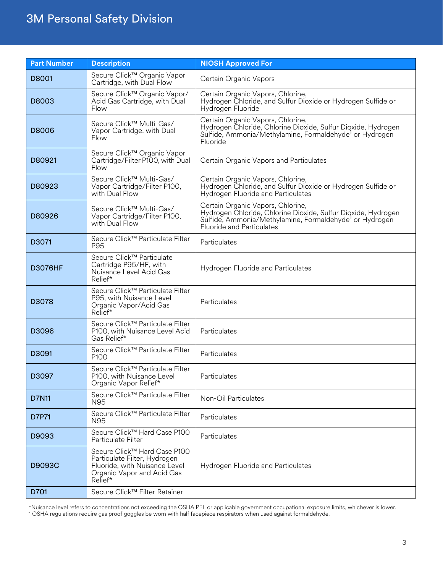# 3M Personal Safety Division

| <b>Part Number</b> | <b>Description</b>                                                                                                                     | <b>NIOSH Approved For</b>                                                                                                                                                                                     |
|--------------------|----------------------------------------------------------------------------------------------------------------------------------------|---------------------------------------------------------------------------------------------------------------------------------------------------------------------------------------------------------------|
| D8001              | Secure Click™ Organic Vapor<br>Cartridge, with Dual Flow                                                                               | Certain Organic Vapors                                                                                                                                                                                        |
| D8003              | Secure Click™ Organic Vapor/<br>Acid Gas Cartridge, with Dual<br>Flow                                                                  | Certain Organic Vapors, Chlorine,<br>Hydrogen Chloride, and Sulfur Dioxide or Hydrogen Sulfide or<br>Hydrogen Fluoride                                                                                        |
| D8006              | Secure Click™ Multi-Gas/<br>Vapor Cartridge, with Dual<br>Flow                                                                         | Certain Organic Vapors, Chlorine,<br>Hydrogen Chloride, Chlorine Dioxide, Sulfur Dioxide, Hydrogen<br>Sulfide, Ammonia/Methylamine, Formaldehyde <sup>1</sup> or Hydrogen<br>Fluoride                         |
| D80921             | Secure Click™ Organic Vapor<br>Cartridge/Filter P100, with Dual<br>Flow                                                                | Certain Organic Vapors and Particulates                                                                                                                                                                       |
| D80923             | Secure Click™ Multi-Gas/<br>Vapor Cartridge/Filter P100,<br>with Dual Flow                                                             | Certain Organic Vapors, Chlorine,<br>Hydrogen Chloride, and Sulfur Dioxide or Hydrogen Sulfide or<br>Hydrogen Fluoride and Particulates                                                                       |
| D80926             | Secure Click™ Multi-Gas/<br>Vapor Cartridge/Filter P100,<br>with Dual Flow                                                             | Certain Organic Vapors, Chlorine,<br>Hydrogen Chloride, Chlorine Dioxide, Sulfur Dioxide, Hydrogen<br>Sulfide, Ammonia/Methylamine, Formaldehyde <sup>1</sup> or Hydrogen<br><b>Fluoride and Particulates</b> |
| D3071              | Secure Click™ Particulate Filter<br>P95                                                                                                | Particulates                                                                                                                                                                                                  |
| <b>D3076HF</b>     | Secure Click™ Particulate<br>Cartridge P95/HF, with<br>Nuisance Level Acid Gas<br>Relief*                                              | Hydrogen Fluoride and Particulates                                                                                                                                                                            |
| D3078              | Secure Click™ Particulate Filter<br>P95, with Nuisance Level<br>Organic Vapor/Acid Gas<br>Relief*                                      | Particulates                                                                                                                                                                                                  |
| D3096              | Secure Click™ Particulate Filter<br>P100, with Nuisance Level Acid<br>Gas Relief*                                                      | Particulates                                                                                                                                                                                                  |
| D3091              | Secure Click™ Particulate Filter<br>P100                                                                                               | Particulates                                                                                                                                                                                                  |
| D3097              | Secure Click™ Particulate Filter<br>P100, with Nuisance Level<br>Organic Vapor Relief*                                                 | Particulates                                                                                                                                                                                                  |
| <b>D7N11</b>       | Secure Click™ Particulate Filter<br>N95                                                                                                | Non-Oil Particulates                                                                                                                                                                                          |
| D7P71              | Secure Click™ Particulate Filter<br>N95                                                                                                | Particulates                                                                                                                                                                                                  |
| D9093              | Secure Click™ Hard Case P100<br>Particulate Filter                                                                                     | Particulates                                                                                                                                                                                                  |
| D9093C             | Secure Click™ Hard Case P100<br>Particulate Filter, Hydrogen<br>Fluoride, with Nuisance Level<br>Organic Vapor and Acid Gas<br>Relief* | Hydrogen Fluoride and Particulates                                                                                                                                                                            |
| D701               | Secure Click™ Filter Retainer                                                                                                          |                                                                                                                                                                                                               |

\*Nuisance level refers to concentrations not exceeding the OSHA PEL or applicable government occupational exposure limits, whichever is lower. 1 OSHA regulations require gas proof goggles be worn with half facepiece respirators when used against formaldehyde.